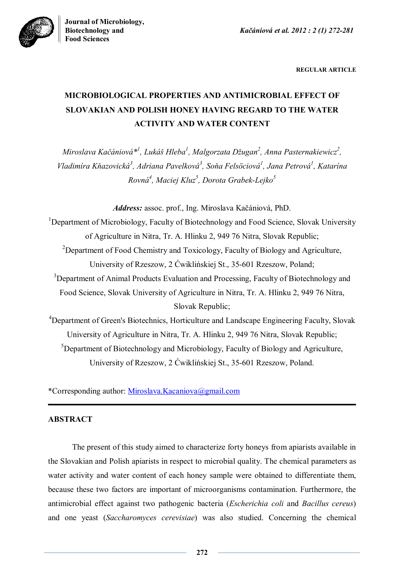

**REGULAR ARTICLE**

# **MICROBIOLOGICAL PROPERTIES AND ANTIMICROBIAL EFFECT OF SLOVAKIAN AND POLISH HONEY HAVING REGARD TO THE WATER ACTIVITY AND WATER CONTENT**

*Miroslava Kačániová\* 1 , Lukáš Hleba<sup>1</sup> , Malgorzata Džugan<sup>2</sup> , Anna Pasternakiewicz<sup>2</sup> , Vladimíra Kňazovická<sup>3</sup> , Adriana Pavelková<sup>3</sup> , Soňa Felsöciová<sup>1</sup> , Jana Petrová<sup>1</sup> , Katarína Rovná<sup>4</sup> , Maciej Kluz<sup>5</sup> , Dorota Grabek-Lejko<sup>5</sup>*

*Address:* assoc. prof., Ing. Miroslava Kačániová, PhD.

<sup>1</sup>Department of Microbiology, Faculty of Biotechnology and Food Science, Slovak University of Agriculture in Nitra, Tr. A. Hlinku 2, 949 76 Nitra, Slovak Republic; <sup>2</sup>Department of Food Chemistry and Toxicology, Faculty of Biology and Agriculture, University of Rzeszow, 2 Ćwiklińskiej St., 35-601 Rzeszow, Poland; <sup>3</sup>Department of Animal Products Evaluation and Processing, Faculty of Biotechnology and Food Science, Slovak University of Agriculture in Nitra, Tr. A. Hlinku 2, 949 76 Nitra, Slovak Republic;

<sup>4</sup>Department of Green's Biotechnics, Horticulture and Landscape Engineering Faculty, Slovak University of Agriculture in Nitra, Tr. A. Hlinku 2, 949 76 Nitra, Slovak Republic;  ${}^{5}$ Department of Biotechnology and Microbiology, Faculty of Biology and Agriculture, University of Rzeszow, 2 Ćwiklińskiej St., 35-601 Rzeszow, Poland.

\*Corresponding author: Miroslava.Kacaniova@gmail.com

# **ABSTRACT**

The present of this study aimed to characterize forty honeys from apiarists available in the Slovakian and Polish apiarists in respect to microbial quality. The chemical parameters as water activity and water content of each honey sample were obtained to differentiate them, because these two factors are important of microorganisms contamination. Furthermore, the antimicrobial effect against two pathogenic bacteria (*Escherichia coli* and *Bacillus cereus*) and one yeast (*Saccharomyces cerevisiae*) was also studied. Concerning the chemical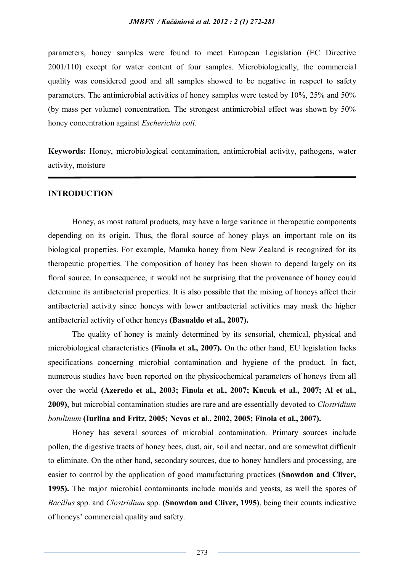parameters, honey samples were found to meet European Legislation (EC Directive 2001/110) except for water content of four samples. Microbiologically, the commercial quality was considered good and all samples showed to be negative in respect to safety parameters. The antimicrobial activities of honey samples were tested by 10%, 25% and 50% (by mass per volume) concentration. The strongest antimicrobial effect was shown by 50% honey concentration against *Escherichia coli.*

**Keywords:** Honey, microbiological contamination, antimicrobial activity, pathogens, water activity, moisture

#### **INTRODUCTION**

Honey, as most natural products, may have a large variance in therapeutic components depending on its origin. Thus, the floral source of honey plays an important role on its biological properties. For example, Manuka honey from New Zealand is recognized for its therapeutic properties. The composition of honey has been shown to depend largely on its floral source. In consequence, it would not be surprising that the provenance of honey could determine its antibacterial properties. It is also possible that the mixing of honeys affect their antibacterial activity since honeys with lower antibacterial activities may mask the higher antibacterial activity of other honeys **(Basualdo et al., 2007).**

The quality of honey is mainly determined by its sensorial, chemical, physical and microbiological characteristics **(Finola et al., 2007).** On the other hand, EU legislation lacks specifications concerning microbial contamination and hygiene of the product. In fact, numerous studies have been reported on the physicochemical parameters of honeys from all over the world **(Azeredo et al., 2003; Finola et al., 2007; Kucuk et al., 2007; Al et al., 2009)**, but microbial contamination studies are rare and are essentially devoted to *Clostridium botulinum* **(Iurlina and Fritz, 2005; Nevas et al., 2002, 2005; Finola et al., 2007).**

Honey has several sources of microbial contamination. Primary sources include pollen, the digestive tracts of honey bees, dust, air, soil and nectar, and are somewhat difficult to eliminate. On the other hand, secondary sources, due to honey handlers and processing, are easier to control by the application of good manufacturing practices **(Snowdon and Cliver, 1995).** The major microbial contaminants include moulds and yeasts, as well the spores of *Bacillus* spp. and *Clostridium* spp. **(Snowdon and Cliver, 1995)**, being their counts indicative of honeys' commercial quality and safety.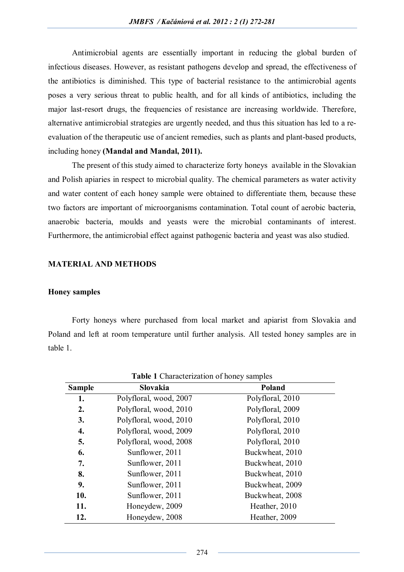Antimicrobial agents are essentially important in reducing the global burden of infectious diseases. However, as resistant pathogens develop and spread, the effectiveness of the antibiotics is diminished. This type of bacterial resistance to the antimicrobial agents poses a very serious threat to public health, and for all kinds of antibiotics, including the major last-resort drugs, the frequencies of resistance are increasing worldwide. Therefore, alternative antimicrobial strategies are urgently needed, and thus this situation has led to a reevaluation of the therapeutic use of ancient remedies, such as plants and plant-based products, including honey **(Mandal and Mandal, 2011).**

The present of this study aimed to characterize forty honeys available in the Slovakian and Polish apiaries in respect to microbial quality. The chemical parameters as water activity and water content of each honey sample were obtained to differentiate them, because these two factors are important of microorganisms contamination. Total count of aerobic bacteria, anaerobic bacteria, moulds and yeasts were the microbial contaminants of interest. Furthermore, the antimicrobial effect against pathogenic bacteria and yeast was also studied.

## **MATERIAL AND METHODS**

#### **Honey samples**

Forty honeys where purchased from local market and apiarist from Slovakia and Poland and left at room temperature until further analysis. All tested honey samples are in table 1.

| <b>Table 1</b> Characterization of honey samples |                        |                  |  |  |  |  |  |  |
|--------------------------------------------------|------------------------|------------------|--|--|--|--|--|--|
| <b>Sample</b>                                    | Slovakia               | <b>Poland</b>    |  |  |  |  |  |  |
| 1.                                               | Polyfloral, wood, 2007 | Polyfloral, 2010 |  |  |  |  |  |  |
| 2.                                               | Polyfloral, wood, 2010 | Polyfloral, 2009 |  |  |  |  |  |  |
| 3.                                               | Polyfloral, wood, 2010 | Polyfloral, 2010 |  |  |  |  |  |  |
| 4.                                               | Polyfloral, wood, 2009 | Polyfloral, 2010 |  |  |  |  |  |  |
| 5.                                               | Polyfloral, wood, 2008 | Polyfloral, 2010 |  |  |  |  |  |  |
| 6.                                               | Sunflower, 2011        | Buckwheat, 2010  |  |  |  |  |  |  |
| 7.                                               | Sunflower, 2011        | Buckwheat, 2010  |  |  |  |  |  |  |
| 8.                                               | Sunflower, 2011        | Buckwheat, 2010  |  |  |  |  |  |  |
| 9.                                               | Sunflower, 2011        | Buckwheat, 2009  |  |  |  |  |  |  |
| 10.                                              | Sunflower, 2011        | Buckwheat, 2008  |  |  |  |  |  |  |
| 11.                                              | Honeydew, 2009         | Heather, 2010    |  |  |  |  |  |  |
| 12.                                              | Honeydew, 2008         | Heather, 2009    |  |  |  |  |  |  |

**Table 1** Characterization of honey samples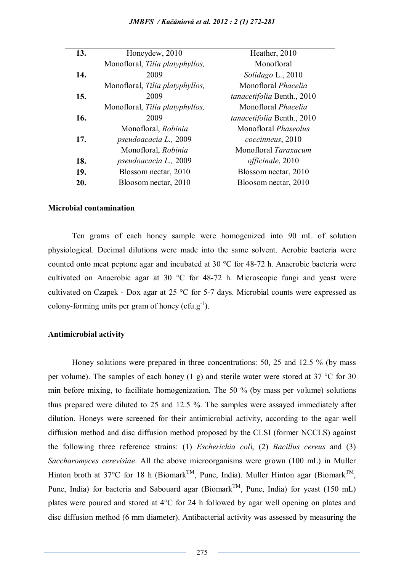| 13. | Honeydew, 2010                  | Heather, 2010               |
|-----|---------------------------------|-----------------------------|
|     | Monofloral, Tilia platyphyllos, | Monofloral                  |
| 14. | 2009                            | Solidago L., 2010           |
|     | Monofloral, Tilia platyphyllos, | Monofloral <i>Phacelia</i>  |
| 15. | 2009                            | tanacetifolia Benth., 2010  |
|     | Monofloral, Tilia platyphyllos, | Monofloral <i>Phacelia</i>  |
| 16. | 2009                            | tanacetifolia Benth., 2010  |
|     | Monofloral, Robinia             | Monofloral <i>Phaseolus</i> |
| 17. | pseudoacacia L., 2009           | coccinneus, 2010            |
|     | Monofloral, Robinia             | Monofloral Taraxacum        |
| 18. | pseudoacacia L., 2009           | <i>officinale</i> , 2010    |
| 19. | Blossom nectar, 2010            | Blossom nectar, 2010        |
| 20. | Bloosom nectar, 2010            | Bloosom nectar, 2010        |

#### **Microbial contamination**

Ten grams of each honey sample were homogenized into 90 mL of solution physiological. Decimal dilutions were made into the same solvent. Aerobic bacteria were counted onto meat peptone agar and incubated at 30 °C for 48-72 h. Anaerobic bacteria were cultivated on Anaerobic agar at 30 °C for 48-72 h. Microscopic fungi and yeast were cultivated on Czapek - Dox agar at 25 °C for 5-7 days. Microbial counts were expressed as colony-forming units per gram of honey (cfu.g<sup>-1</sup>).

### **Antimicrobial activity**

Honey solutions were prepared in three concentrations: 50, 25 and 12.5 % (by mass per volume). The samples of each honey (1 g) and sterile water were stored at 37  $\degree$ C for 30 min before mixing, to facilitate homogenization. The 50 % (by mass per volume) solutions thus prepared were diluted to 25 and 12.5 %. The samples were assayed immediately after dilution. Honeys were screened for their antimicrobial activity, according to the agar well diffusion method and disc diffusion method proposed by the CLSI (former NCCLS) against the following three reference strains: (1) *Escherichia col*i, (2) *Bacillus cereus* and (3) *Saccharomyces cerevisiae*. All the above microorganisms were grown (100 mL) in Muller Hinton broth at 37°C for 18 h (Biomark<sup>TM</sup>, Pune, India). Muller Hinton agar (Biomark<sup>TM</sup>, Pune, India) for bacteria and Sabouard agar (Biomark<sup>TM</sup>, Pune, India) for yeast (150 mL) plates were poured and stored at 4°C for 24 h followed by agar well opening on plates and disc diffusion method (6 mm diameter). Antibacterial activity was assessed by measuring the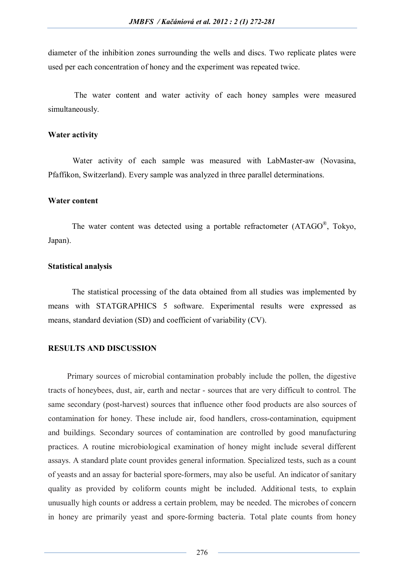diameter of the inhibition zones surrounding the wells and discs. Two replicate plates were used per each concentration of honey and the experiment was repeated twice.

 The water content and water activity of each honey samples were measured simultaneously.

#### **Water activity**

Water activity of each sample was measured with LabMaster-aw (Novasina, Pfaffikon, Switzerland). Every sample was analyzed in three parallel determinations.

#### **Water content**

The water content was detected using a portable refractometer (ATAGO®, Tokyo, Japan).

#### **Statistical analysis**

The statistical processing of the data obtained from all studies was implemented by means with STATGRAPHICS 5 software. Experimental results were expressed as means, standard deviation (SD) and coefficient of variability (CV).

## **RESULTS AND DISCUSSION**

Primary sources of microbial contamination probably include the pollen, the digestive tracts of honeybees, dust, air, earth and nectar - sources that are very difficult to control. The same secondary (post-harvest) sources that influence other food products are also sources of contamination for honey. These include air, food handlers, cross-contamination, equipment and buildings. Secondary sources of contamination are controlled by good manufacturing practices. A routine microbiological examination of honey might include several different assays. A standard plate count provides general information. Specialized tests, such as a count of yeasts and an assay for bacterial spore-formers, may also be useful. An indicator of sanitary quality as provided by coliform counts might be included. Additional tests, to explain unusually high counts or address a certain problem, may be needed. The microbes of concern in honey are primarily yeast and spore-forming bacteria. Total plate counts from honey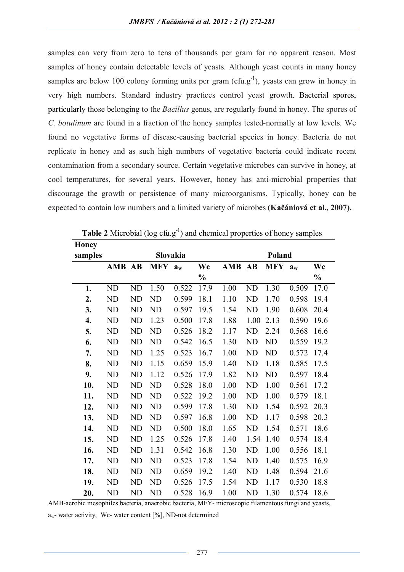samples can very from zero to tens of thousands per gram for no apparent reason. Most samples of honey contain detectable levels of yeasts. Although yeast counts in many honey samples are below 100 colony forming units per gram  $(cfu.g^{-1})$ , yeasts can grow in honey in very high numbers. Standard industry practices control yeast growth. Bacterial spores, particularly those belonging to the *Bacillus* genus, are regularly found in honey. The spores of *C. botulinum* are found in a fraction of the honey samples tested-normally at low levels. We found no vegetative forms of disease-causing bacterial species in honey. Bacteria do not replicate in honey and as such high numbers of vegetative bacteria could indicate recent contamination from a secondary source. Certain vegetative microbes can survive in honey, at cool temperatures, for several years. However, honey has anti-microbial properties that discourage the growth or persistence of many microorganisms. Typically, honey can be expected to contain low numbers and a limited variety of microbes **(Kačániová et al., 2007).**

| <b>Honey</b> |                    |                      |           |       |               |      |      |            |       |               |
|--------------|--------------------|----------------------|-----------|-------|---------------|------|------|------------|-------|---------------|
| samples      | Slovakia<br>Poland |                      |           |       |               |      |      |            |       |               |
|              |                    | <b>MFY</b><br>AMB AB |           | $a_w$ | Wc<br>AMB     |      | AB   | <b>MFY</b> | $a_w$ | Wc            |
|              |                    |                      |           |       | $\frac{0}{0}$ |      |      |            |       | $\frac{1}{2}$ |
| 1.           | ND                 | ND                   | 1.50      | 0.522 | 17.9          | 1.00 | ND   | 1.30       | 0.509 | 17.0          |
| 2.           | ND                 | ND                   | ND        | 0.599 | 18.1          | 1.10 | ND   | 1.70       | 0.598 | 19.4          |
| 3.           | ND                 | ND                   | ND        | 0.597 | 19.5          | 1.54 | ND   | 1.90       | 0.608 | 20.4          |
| 4.           | ND                 | ND                   | 1.23      | 0.500 | 17.8          | 1.88 | 1.00 | 2.13       | 0.590 | 19.6          |
| 5.           | ND                 | ND                   | ND        | 0.526 | 18.2          | 1.17 | ND   | 2.24       | 0.568 | 16.6          |
| 6.           | ND                 | ND                   | ND        | 0.542 | 16.5          | 1.30 | ND   | ND         | 0.559 | 19.2          |
| 7.           | ND                 | ND                   | 1.25      | 0.523 | 16.7          | 1.00 | ND   | ND         | 0.572 | 17.4          |
| 8.           | ND                 | ND                   | 1.15      | 0.659 | 15.9          | 1.40 | ND   | 1.18       | 0.585 | 17.5          |
| 9.           | ND                 | ND                   | 1.12      | 0.526 | 17.9          | 1.82 | ND   | ND         | 0.597 | 18.4          |
| 10.          | ND                 | ND                   | ND        | 0.528 | 18.0          | 1.00 | ND   | 1.00       | 0.561 | 17.2          |
| 11.          | ND                 | ND                   | ND        | 0.522 | 19.2          | 1.00 | ND   | 1.00       | 0.579 | 18.1          |
| 12.          | ND                 | ND                   | <b>ND</b> | 0.599 | 17.8          | 1.30 | ND   | 1.54       | 0.592 | 20.3          |
| 13.          | ND                 | ND                   | ND        | 0.597 | 16.8          | 1.00 | ND   | 1.17       | 0.598 | 20.3          |
| 14.          | ND                 | ND                   | <b>ND</b> | 0.500 | 18.0          | 1.65 | ND   | 1.54       | 0.571 | 18.6          |
| 15.          | ND                 | ND                   | 1.25      | 0.526 | 17.8          | 1.40 | 1.54 | 1.40       | 0.574 | 18.4          |
| 16.          | <b>ND</b>          | ND                   | 1.31      | 0.542 | 16.8          | 1.30 | ND   | 1.00       | 0.556 | 18.1          |
| 17.          | ND                 | ND                   | ND        | 0.523 | 17.8          | 1.54 | ND   | 1.40       | 0.575 | 16.9          |
| 18.          | ND                 | ND                   | <b>ND</b> | 0.659 | 19.2          | 1.40 | ND   | 1.48       | 0.594 | 21.6          |
| 19.          | ND                 | ND                   | ND        | 0.526 | 17.5          | 1.54 | ND   | 1.17       | 0.530 | 18.8          |
| 20.          | ND                 | ND                   | ND        | 0.528 | 16.9          | 1.00 | ND   | 1.30       | 0.574 | 18.6          |

Table 2 Microbial (log cfu.g<sup>-1</sup>) and chemical properties of honey samples

AMB-aerobic mesophiles bacteria, anaerobic bacteria, MFY- microscopic filamentous fungi and yeasts,

 $a_w$ - water activity, Wc- water content [%], ND-not determined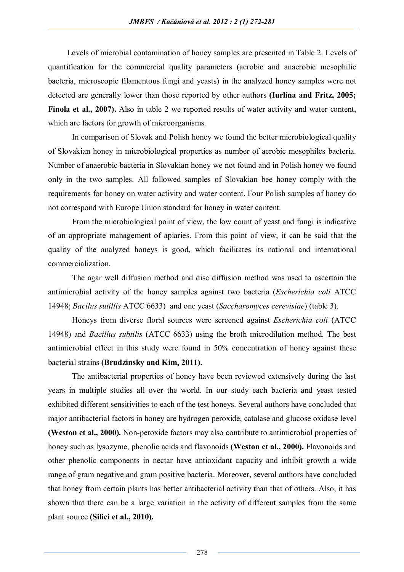Levels of microbial contamination of honey samples are presented in Table 2. Levels of quantification for the commercial quality parameters (aerobic and anaerobic mesophilic bacteria, microscopic filamentous fungi and yeasts) in the analyzed honey samples were not detected are generally lower than those reported by other authors **(Iurlina and Fritz, 2005;**  Finola et al., 2007). Also in table 2 we reported results of water activity and water content, which are factors for growth of microorganisms.

In comparison of Slovak and Polish honey we found the better microbiological quality of Slovakian honey in microbiological properties as number of aerobic mesophiles bacteria. Number of anaerobic bacteria in Slovakian honey we not found and in Polish honey we found only in the two samples. All followed samples of Slovakian bee honey comply with the requirements for honey on water activity and water content. Four Polish samples of honey do not correspond with Europe Union standard for honey in water content.

From the microbiological point of view, the low count of yeast and fungi is indicative of an appropriate management of apiaries. From this point of view, it can be said that the quality of the analyzed honeys is good, which facilitates its national and international commercialization.

The agar well diffusion method and disc diffusion method was used to ascertain the antimicrobial activity of the honey samples against two bacteria (*Escherichia coli* ATCC 14948; *Bacilus sutillis* ATCC 6633) and one yeast (*Saccharomyces cerevisiae*) (table 3).

Honeys from diverse floral sources were screened against *Escherichia coli* (ATCC 14948) and *Bacillus subtilis* (ATCC 6633) using the broth microdilution method. The best antimicrobial effect in this study were found in 50% concentration of honey against these bacterial strains **(Brudzinsky and Kim, 2011).**

The antibacterial properties of honey have been reviewed extensively during the last years in multiple studies all over the world. In our study each bacteria and yeast tested exhibited different sensitivities to each of the test honeys. Several authors have concluded that major antibacterial factors in honey are hydrogen peroxide, catalase and glucose oxidase level **(Weston et al., 2000).** Non-peroxide factors may also contribute to antimicrobial properties of honey such as lysozyme, phenolic acids and flavonoids **(Weston et al., 2000).** Flavonoids and other phenolic components in nectar have antioxidant capacity and inhibit growth a wide range of gram negative and gram positive bacteria. Moreover, several authors have concluded that honey from certain plants has better antibacterial activity than that of others. Also, it has shown that there can be a large variation in the activity of different samples from the same plant source **(Silici et al., 2010).**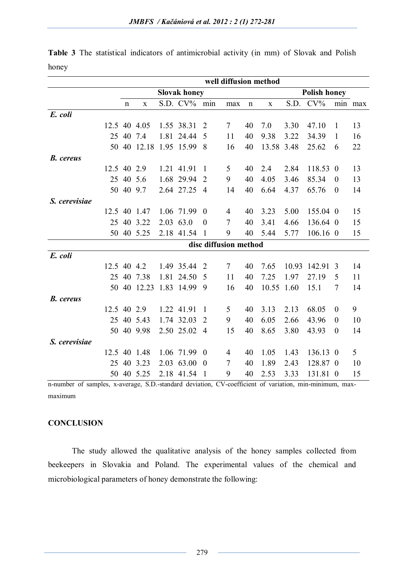|                  |             | well diffusion method |              |      |             |                       |        |                     |             |       |          |                  |         |
|------------------|-------------|-----------------------|--------------|------|-------------|-----------------------|--------|---------------------|-------------|-------|----------|------------------|---------|
|                  |             | <b>Slovak honey</b>   |              |      |             |                       |        | <b>Polish honey</b> |             |       |          |                  |         |
|                  |             | $\mathbf n$           | $\mathbf X$  |      | S.D. $CV\%$ | min                   | max    | $\mathbf n$         | $\mathbf X$ | S.D.  | $CV\%$   |                  | min max |
| E. coli          |             |                       |              |      |             |                       |        |                     |             |       |          |                  |         |
|                  |             |                       | 12.5 40 4.05 |      | 1.55 38.31  | $\overline{2}$        | $\tau$ | 40                  | 7.0         | 3.30  | 47.10    | $\mathbf{1}$     | 13      |
|                  | 25          | 40                    | 7.4          | 1.81 | 24.44       | 5                     | 11     | 40                  | 9.38        | 3.22  | 34.39    | 1                | 16      |
|                  | 50          | 40                    | 12.18        |      | 1.95 15.99  | 8                     | 16     | 40                  | 13.58 3.48  |       | 25.62    | 6                | 22      |
| <b>B.</b> cereus |             |                       |              |      |             |                       |        |                     |             |       |          |                  |         |
|                  | 12.5 40     |                       | 2.9          |      | 1.21 41.91  | $\mathbf{1}$          | 5      | 40                  | 2.4         | 2.84  | 118.53 0 |                  | 13      |
|                  | 25          |                       | 40 5.6       |      | 1.68 29.94  | 2                     | 9      | 40                  | 4.05        | 3.46  | 85.34    | $\overline{0}$   | 13      |
|                  | 50          |                       | 40 9.7       |      | 2.64 27.25  | $\overline{4}$        | 14     | 40                  | 6.64        | 4.37  | 65.76    | $\boldsymbol{0}$ | 14      |
| S. cerevisiae    |             |                       |              |      |             |                       |        |                     |             |       |          |                  |         |
|                  |             |                       | 12.5 40 1.47 |      | 1.06 71.99  | $\theta$              | 4      | 40                  | 3.23        | 5.00  | 155.04 0 |                  | 15      |
|                  | 25          |                       | 40 3.22      |      | 2.03 63.0   | $\theta$              | $\tau$ | 40                  | 3.41        | 4.66  | 136.64 0 |                  | 15      |
|                  | 50          |                       | 40 5.25      |      | 2.18 41.54  | $\mathbf{1}$          | 9      | 40                  | 5.44        | 5.77  | 106.16 0 |                  | 15      |
|                  |             |                       |              |      |             | disc diffusion method |        |                     |             |       |          |                  |         |
| E. coli          |             |                       |              |      |             |                       |        |                     |             |       |          |                  |         |
|                  | 12.5 40     |                       | 4.2          |      | 1.49 35.44  | $\overline{2}$        | $\tau$ | 40                  | 7.65        | 10.93 | 142.91   | 3                | 14      |
|                  | 25          |                       | 40 7.38      | 1.81 | 24.50       | 5                     | 11     | 40                  | 7.25        | 1.97  | 27.19    | 5                | 11      |
|                  | 50          |                       | 40 12.23     |      | 1.83 14.99  | 9                     | 16     | 40                  | 10.55       | 1.60  | 15.1     | $\overline{7}$   | 14      |
| <b>B.</b> cereus |             |                       |              |      |             |                       |        |                     |             |       |          |                  |         |
|                  | 12.5 40 2.9 |                       |              |      | 1.22 41.91  | 1                     | 5      | 40                  | 3.13        | 2.13  | 68.05    | $\overline{0}$   | 9       |
|                  | 25          |                       | 40 5.43      |      | 1.74 32.03  | $\overline{2}$        | 9      | 40                  | 6.05        | 2.66  | 43.96    | $\overline{0}$   | 10      |
|                  | 50          |                       | 40 9.98      |      | 2.50 25.02  | $\overline{4}$        | 15     | 40                  | 8.65        | 3.80  | 43.93    | $\theta$         | 14      |
| S. cerevisiae    |             |                       |              |      |             |                       |        |                     |             |       |          |                  |         |
|                  |             |                       | 12.5 40 1.48 |      | 1.06 71.99  | $\overline{0}$        | 4      | 40                  | 1.05        | 1.43  | 136.13 0 |                  | 5       |
|                  | 25          | 40                    | 3.23         |      | 2.03 63.00  | $\overline{0}$        | 7      | 40                  | 1.89        | 2.43  | 128.87 0 |                  | 10      |
|                  | 50          |                       | 40 5.25      |      | 2.18 41.54  | $\mathbf{1}$          | 9      | 40                  | 2.53        | 3.33  | 131.81 0 |                  | 15      |

|       |  |  | <b>Table 3</b> The statistical indicators of antimicrobial activity (in mm) of Slovak and Polish |  |  |  |  |
|-------|--|--|--------------------------------------------------------------------------------------------------|--|--|--|--|
| honey |  |  |                                                                                                  |  |  |  |  |

n-number of samples, x-average, S.D.-standard deviation, CV-coefficient of variation, min-minimum, maxmaximum

# **CONCLUSION**

The study allowed the qualitative analysis of the honey samples collected from beekeepers in Slovakia and Poland. The experimental values of the chemical and microbiological parameters of honey demonstrate the following: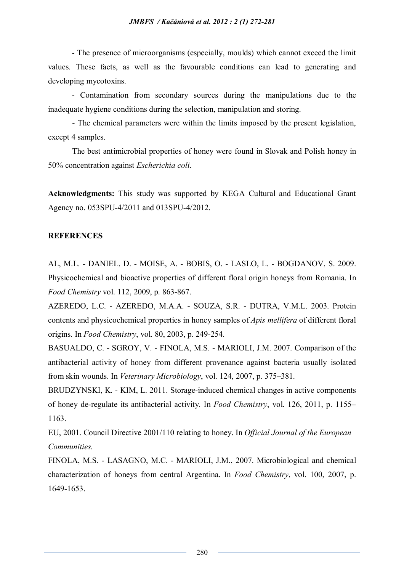- The presence of microorganisms (especially, moulds) which cannot exceed the limit values. These facts, as well as the favourable conditions can lead to generating and developing mycotoxins.

- Contamination from secondary sources during the manipulations due to the inadequate hygiene conditions during the selection, manipulation and storing.

- The chemical parameters were within the limits imposed by the present legislation, except 4 samples.

The best antimicrobial properties of honey were found in Slovak and Polish honey in 50% concentration against *Escherichia coli*.

**Acknowledgments:** This study was supported by KEGA Cultural and Educational Grant Agency no. 053SPU-4/2011 and 013SPU-4/2012.

# **REFERENCES**

AL, M.L. - DANIEL, D. - MOISE, A. - BOBIS, O. - LASLO, L. - BOGDANOV, S. 2009. Physicochemical and bioactive properties of different floral origin honeys from Romania. In *Food Chemistry* vol. 112, 2009, p. 863-867.

AZEREDO, L.C. - AZEREDO, M.A.A. - SOUZA, S.R. - DUTRA, V.M.L. 2003. Protein contents and physicochemical properties in honey samples of *Apis mellifera* of different floral origins. In *Food Chemistry*, vol. 80, 2003, p. 249-254.

BASUALDO, C. - SGROY, V. - FINOLA, M.S. - MARIOLI, J.M. 2007. Comparison of the antibacterial activity of honey from different provenance against bacteria usually isolated from skin wounds. In *Veterinary Microbiology*, vol. 124, 2007, p. 375–381.

BRUDZYNSKI, K. - KIM, L. 2011. Storage-induced chemical changes in active components of honey de-regulate its antibacterial activity. In *Food Chemistry*, vol. 126, 2011, p. 1155– 1163.

EU, 2001. Council Directive 2001/110 relating to honey. In *Official Journal of the European Communities.*

FINOLA, M.S. - LASAGNO, M.C. - MARIOLI, J.M., 2007. Microbiological and chemical characterization of honeys from central Argentina. In *Food Chemistry*, vol. 100, 2007, p. 1649-1653.